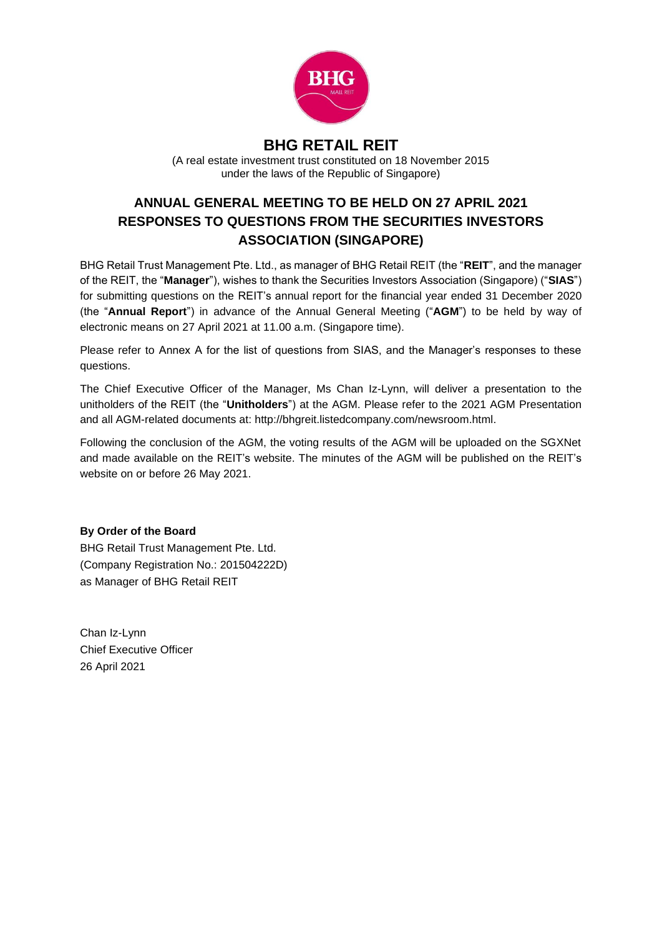

# **BHG RETAIL REIT**

(A real estate investment trust constituted on 18 November 2015 under the laws of the Republic of Singapore)

# **ANNUAL GENERAL MEETING TO BE HELD ON 27 APRIL 2021 RESPONSES TO QUESTIONS FROM THE SECURITIES INVESTORS ASSOCIATION (SINGAPORE)**

BHG Retail Trust Management Pte. Ltd., as manager of BHG Retail REIT (the "**REIT**", and the manager of the REIT, the "**Manager**"), wishes to thank the Securities Investors Association (Singapore) ("**SIAS**") for submitting questions on the REIT's annual report for the financial year ended 31 December 2020 (the "**Annual Report**") in advance of the Annual General Meeting ("**AGM**") to be held by way of electronic means on 27 April 2021 at 11.00 a.m. (Singapore time).

Please refer to Annex A for the list of questions from SIAS, and the Manager's responses to these questions.

The Chief Executive Officer of the Manager, Ms Chan Iz-Lynn, will deliver a presentation to the unitholders of the REIT (the "**Unitholders**") at the AGM. Please refer to the 2021 AGM Presentation and all AGM-related documents at: http://bhgreit.listedcompany.com/newsroom.html.

Following the conclusion of the AGM, the voting results of the AGM will be uploaded on the SGXNet and made available on the REIT's website. The minutes of the AGM will be published on the REIT's website on or before 26 May 2021.

**By Order of the Board**

BHG Retail Trust Management Pte. Ltd. (Company Registration No.: 201504222D) as Manager of BHG Retail REIT

Chan Iz-Lynn Chief Executive Officer 26 April 2021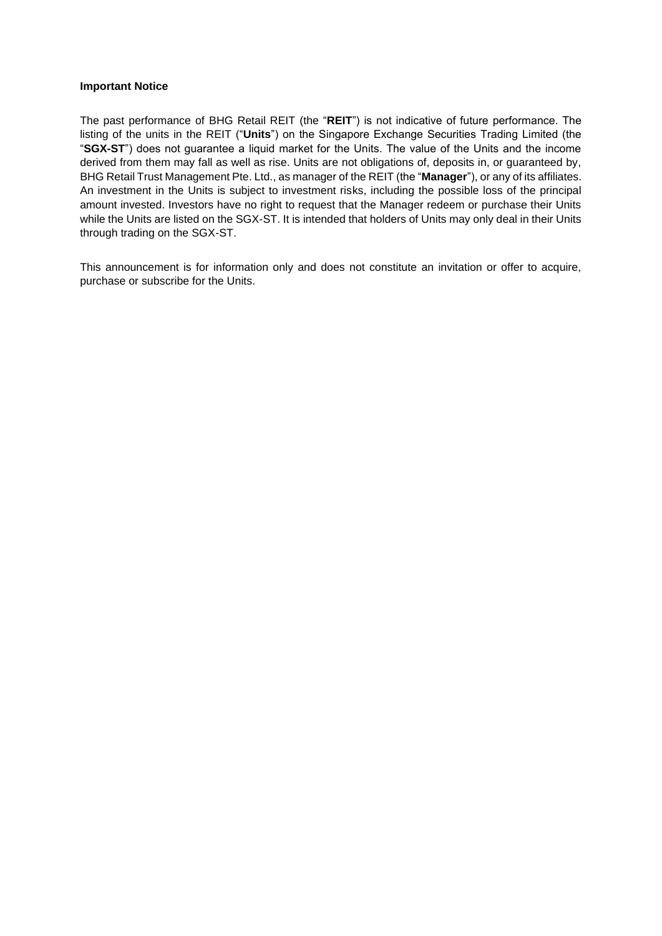#### **Important Notice**

The past performance of BHG Retail REIT (the "**REIT**") is not indicative of future performance. The listing of the units in the REIT ("**Units**") on the Singapore Exchange Securities Trading Limited (the "**SGX-ST**") does not guarantee a liquid market for the Units. The value of the Units and the income derived from them may fall as well as rise. Units are not obligations of, deposits in, or guaranteed by, BHG Retail Trust Management Pte. Ltd., as manager of the REIT (the "**Manager**"), or any of its affiliates. An investment in the Units is subject to investment risks, including the possible loss of the principal amount invested. Investors have no right to request that the Manager redeem or purchase their Units while the Units are listed on the SGX-ST. It is intended that holders of Units may only deal in their Units through trading on the SGX-ST.

This announcement is for information only and does not constitute an invitation or offer to acquire, purchase or subscribe for the Units.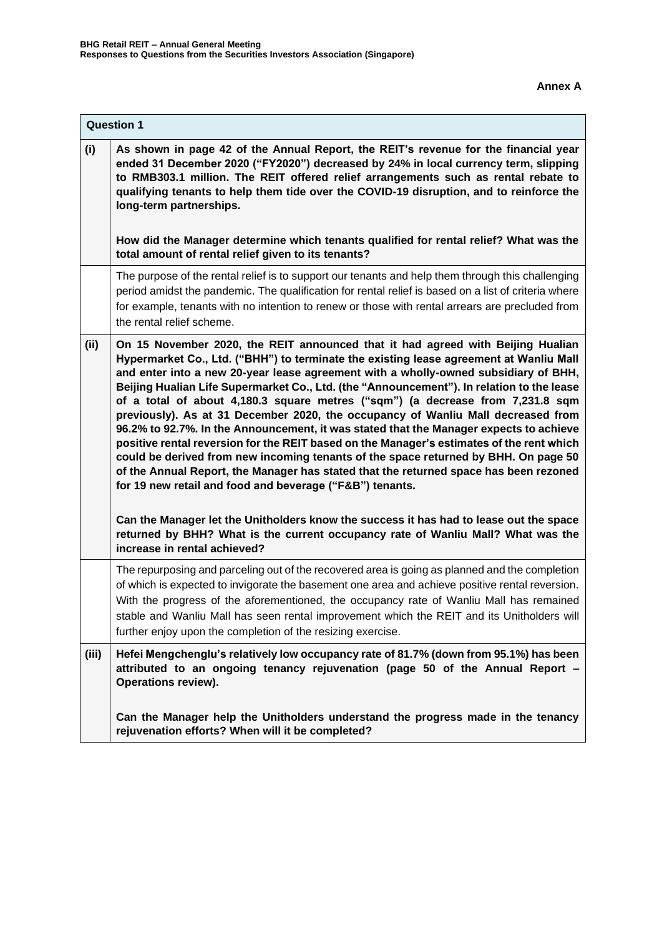|       | <b>Question 1</b>                                                                                                                                                                                                                                                                                                                                                                                                                                                                                                                                                                                                                                                                                                                                                                                                                                                                                                                                                                                                                                                                                                                                    |  |
|-------|------------------------------------------------------------------------------------------------------------------------------------------------------------------------------------------------------------------------------------------------------------------------------------------------------------------------------------------------------------------------------------------------------------------------------------------------------------------------------------------------------------------------------------------------------------------------------------------------------------------------------------------------------------------------------------------------------------------------------------------------------------------------------------------------------------------------------------------------------------------------------------------------------------------------------------------------------------------------------------------------------------------------------------------------------------------------------------------------------------------------------------------------------|--|
| (i)   | As shown in page 42 of the Annual Report, the REIT's revenue for the financial year<br>ended 31 December 2020 ("FY2020") decreased by 24% in local currency term, slipping<br>to RMB303.1 million. The REIT offered relief arrangements such as rental rebate to<br>qualifying tenants to help them tide over the COVID-19 disruption, and to reinforce the<br>long-term partnerships.                                                                                                                                                                                                                                                                                                                                                                                                                                                                                                                                                                                                                                                                                                                                                               |  |
|       | How did the Manager determine which tenants qualified for rental relief? What was the<br>total amount of rental relief given to its tenants?                                                                                                                                                                                                                                                                                                                                                                                                                                                                                                                                                                                                                                                                                                                                                                                                                                                                                                                                                                                                         |  |
|       | The purpose of the rental relief is to support our tenants and help them through this challenging<br>period amidst the pandemic. The qualification for rental relief is based on a list of criteria where<br>for example, tenants with no intention to renew or those with rental arrears are precluded from<br>the rental relief scheme.                                                                                                                                                                                                                                                                                                                                                                                                                                                                                                                                                                                                                                                                                                                                                                                                            |  |
| (ii)  | On 15 November 2020, the REIT announced that it had agreed with Beijing Hualian<br>Hypermarket Co., Ltd. ("BHH") to terminate the existing lease agreement at Wanliu Mall<br>and enter into a new 20-year lease agreement with a wholly-owned subsidiary of BHH,<br>Beijing Hualian Life Supermarket Co., Ltd. (the "Announcement"). In relation to the lease<br>of a total of about 4,180.3 square metres ("sqm") (a decrease from 7,231.8 sqm<br>previously). As at 31 December 2020, the occupancy of Wanliu Mall decreased from<br>96.2% to 92.7%. In the Announcement, it was stated that the Manager expects to achieve<br>positive rental reversion for the REIT based on the Manager's estimates of the rent which<br>could be derived from new incoming tenants of the space returned by BHH. On page 50<br>of the Annual Report, the Manager has stated that the returned space has been rezoned<br>for 19 new retail and food and beverage ("F&B") tenants.<br>Can the Manager let the Unitholders know the success it has had to lease out the space<br>returned by BHH? What is the current occupancy rate of Wanliu Mall? What was the |  |
|       | increase in rental achieved?<br>The repurposing and parceling out of the recovered area is going as planned and the completion<br>of which is expected to invigorate the basement one area and achieve positive rental reversion.<br>With the progress of the aforementioned, the occupancy rate of Wanliu Mall has remained<br>stable and Wanliu Mall has seen rental improvement which the REIT and its Unitholders will<br>further enjoy upon the completion of the resizing exercise.                                                                                                                                                                                                                                                                                                                                                                                                                                                                                                                                                                                                                                                            |  |
| (iii) | Hefei Mengchenglu's relatively low occupancy rate of 81.7% (down from 95.1%) has been<br>attributed to an ongoing tenancy rejuvenation (page 50 of the Annual Report -<br><b>Operations review).</b>                                                                                                                                                                                                                                                                                                                                                                                                                                                                                                                                                                                                                                                                                                                                                                                                                                                                                                                                                 |  |
|       | Can the Manager help the Unitholders understand the progress made in the tenancy<br>rejuvenation efforts? When will it be completed?                                                                                                                                                                                                                                                                                                                                                                                                                                                                                                                                                                                                                                                                                                                                                                                                                                                                                                                                                                                                                 |  |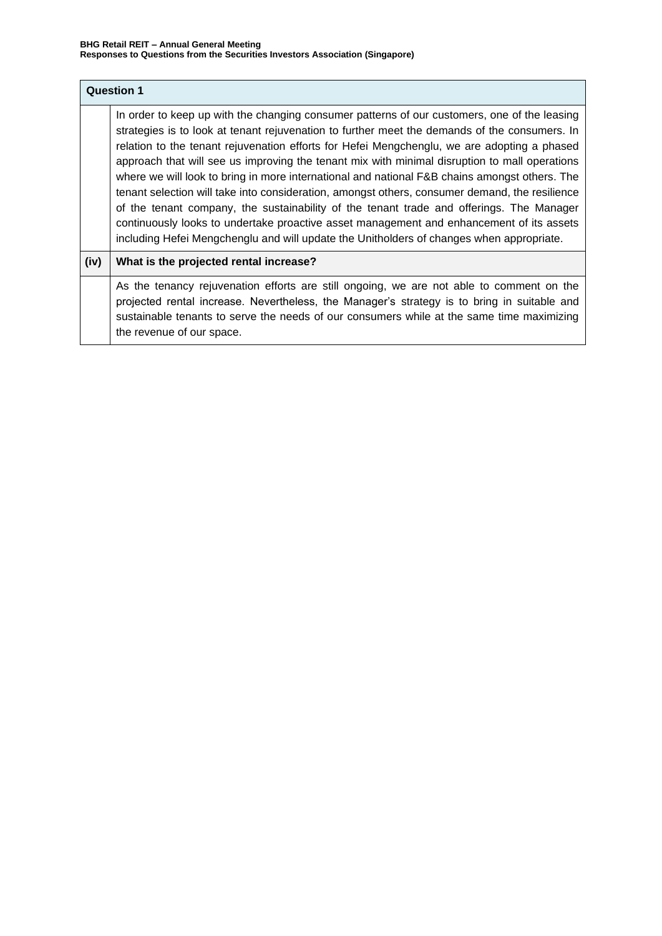| <b>Question 1</b> |                                                                                                                                                                                                                                                                                                                                                                                                                                                                                                                                                                                                                                                                                                                                                                                                                                                                                      |
|-------------------|--------------------------------------------------------------------------------------------------------------------------------------------------------------------------------------------------------------------------------------------------------------------------------------------------------------------------------------------------------------------------------------------------------------------------------------------------------------------------------------------------------------------------------------------------------------------------------------------------------------------------------------------------------------------------------------------------------------------------------------------------------------------------------------------------------------------------------------------------------------------------------------|
|                   | In order to keep up with the changing consumer patterns of our customers, one of the leasing<br>strategies is to look at tenant rejuvenation to further meet the demands of the consumers. In<br>relation to the tenant rejuvenation efforts for Hefei Mengchenglu, we are adopting a phased<br>approach that will see us improving the tenant mix with minimal disruption to mall operations<br>where we will look to bring in more international and national F&B chains amongst others. The<br>tenant selection will take into consideration, amongst others, consumer demand, the resilience<br>of the tenant company, the sustainability of the tenant trade and offerings. The Manager<br>continuously looks to undertake proactive asset management and enhancement of its assets<br>including Hefei Mengchenglu and will update the Unitholders of changes when appropriate. |
| (iv)              | What is the projected rental increase?                                                                                                                                                                                                                                                                                                                                                                                                                                                                                                                                                                                                                                                                                                                                                                                                                                               |
|                   | As the tenancy rejuvenation efforts are still ongoing, we are not able to comment on the<br>projected rental increase. Nevertheless, the Manager's strategy is to bring in suitable and<br>sustainable tenants to serve the needs of our consumers while at the same time maximizing<br>the revenue of our space.                                                                                                                                                                                                                                                                                                                                                                                                                                                                                                                                                                    |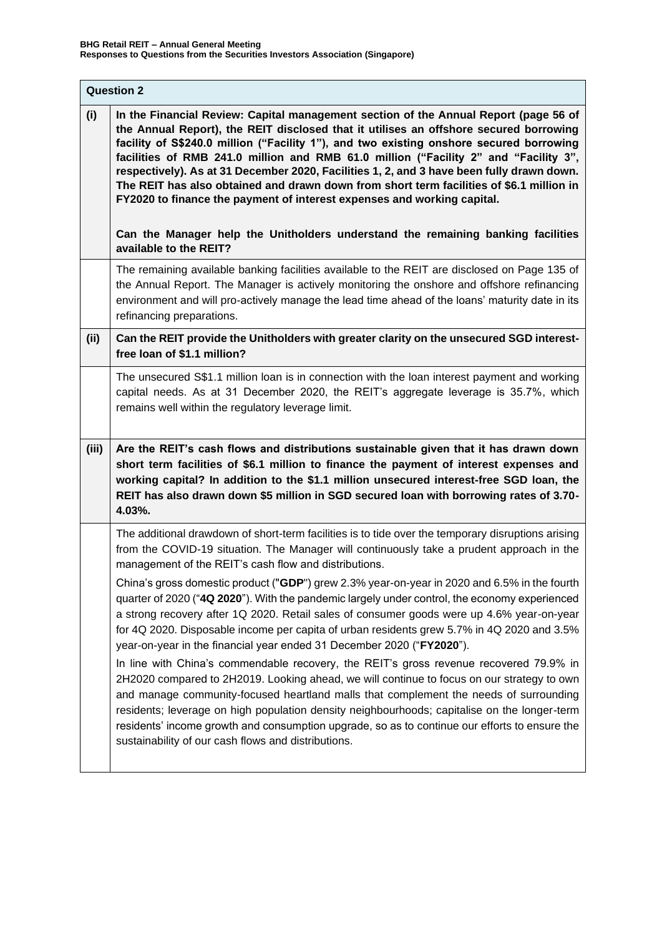| <b>Question 2</b> |                                                                                                                                                                                                                                                                                                                                                                                                                                                                                                                                                                                                                                                                                                                          |  |
|-------------------|--------------------------------------------------------------------------------------------------------------------------------------------------------------------------------------------------------------------------------------------------------------------------------------------------------------------------------------------------------------------------------------------------------------------------------------------------------------------------------------------------------------------------------------------------------------------------------------------------------------------------------------------------------------------------------------------------------------------------|--|
| (i)               | In the Financial Review: Capital management section of the Annual Report (page 56 of<br>the Annual Report), the REIT disclosed that it utilises an offshore secured borrowing<br>facility of S\$240.0 million ("Facility 1"), and two existing onshore secured borrowing<br>facilities of RMB 241.0 million and RMB 61.0 million ("Facility 2" and "Facility 3",<br>respectively). As at 31 December 2020, Facilities 1, 2, and 3 have been fully drawn down.<br>The REIT has also obtained and drawn down from short term facilities of \$6.1 million in<br>FY2020 to finance the payment of interest expenses and working capital.<br>Can the Manager help the Unitholders understand the remaining banking facilities |  |
|                   | available to the REIT?<br>The remaining available banking facilities available to the REIT are disclosed on Page 135 of                                                                                                                                                                                                                                                                                                                                                                                                                                                                                                                                                                                                  |  |
|                   | the Annual Report. The Manager is actively monitoring the onshore and offshore refinancing<br>environment and will pro-actively manage the lead time ahead of the loans' maturity date in its<br>refinancing preparations.                                                                                                                                                                                                                                                                                                                                                                                                                                                                                               |  |
| (ii)              | Can the REIT provide the Unitholders with greater clarity on the unsecured SGD interest-<br>free loan of \$1.1 million?                                                                                                                                                                                                                                                                                                                                                                                                                                                                                                                                                                                                  |  |
|                   | The unsecured S\$1.1 million loan is in connection with the loan interest payment and working<br>capital needs. As at 31 December 2020, the REIT's aggregate leverage is 35.7%, which<br>remains well within the regulatory leverage limit.                                                                                                                                                                                                                                                                                                                                                                                                                                                                              |  |
| (iii)             | Are the REIT's cash flows and distributions sustainable given that it has drawn down<br>short term facilities of \$6.1 million to finance the payment of interest expenses and<br>working capital? In addition to the \$1.1 million unsecured interest-free SGD loan, the<br>REIT has also drawn down \$5 million in SGD secured loan with borrowing rates of 3.70-<br>4.03%.                                                                                                                                                                                                                                                                                                                                            |  |
|                   | The additional drawdown of short-term facilities is to tide over the temporary disruptions arising<br>from the COVID-19 situation. The Manager will continuously take a prudent approach in the<br>management of the REIT's cash flow and distributions.                                                                                                                                                                                                                                                                                                                                                                                                                                                                 |  |
|                   | China's gross domestic product ("GDP") grew 2.3% year-on-year in 2020 and 6.5% in the fourth<br>quarter of 2020 ("4Q 2020"). With the pandemic largely under control, the economy experienced<br>a strong recovery after 1Q 2020. Retail sales of consumer goods were up 4.6% year-on-year<br>for 4Q 2020. Disposable income per capita of urban residents grew 5.7% in 4Q 2020 and 3.5%<br>year-on-year in the financial year ended 31 December 2020 ("FY2020").                                                                                                                                                                                                                                                        |  |
|                   | In line with China's commendable recovery, the REIT's gross revenue recovered 79.9% in<br>2H2020 compared to 2H2019. Looking ahead, we will continue to focus on our strategy to own<br>and manage community-focused heartland malls that complement the needs of surrounding<br>residents; leverage on high population density neighbourhoods; capitalise on the longer-term<br>residents' income growth and consumption upgrade, so as to continue our efforts to ensure the<br>sustainability of our cash flows and distributions.                                                                                                                                                                                    |  |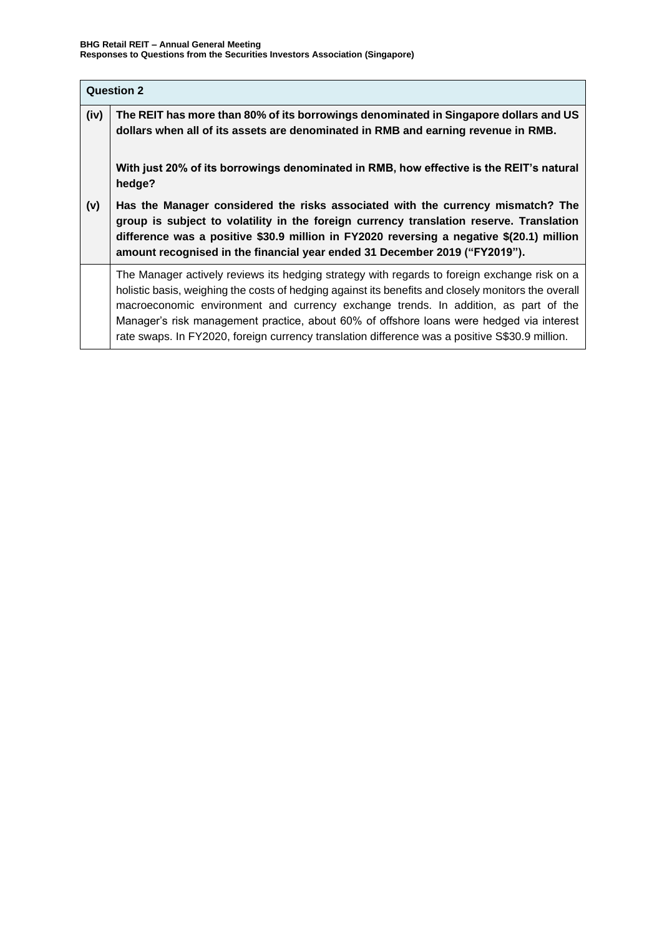| <b>Question 2</b> |                                                                                                                                                                                                                                                                                                                                                                                                                                                                                          |
|-------------------|------------------------------------------------------------------------------------------------------------------------------------------------------------------------------------------------------------------------------------------------------------------------------------------------------------------------------------------------------------------------------------------------------------------------------------------------------------------------------------------|
| (iv)              | The REIT has more than 80% of its borrowings denominated in Singapore dollars and US<br>dollars when all of its assets are denominated in RMB and earning revenue in RMB.                                                                                                                                                                                                                                                                                                                |
|                   | With just 20% of its borrowings denominated in RMB, how effective is the REIT's natural<br>hedge?                                                                                                                                                                                                                                                                                                                                                                                        |
| (v)               | Has the Manager considered the risks associated with the currency mismatch? The<br>group is subject to volatility in the foreign currency translation reserve. Translation<br>difference was a positive \$30.9 million in FY2020 reversing a negative \$(20.1) million<br>amount recognised in the financial year ended 31 December 2019 ("FY2019").                                                                                                                                     |
|                   | The Manager actively reviews its hedging strategy with regards to foreign exchange risk on a<br>holistic basis, weighing the costs of hedging against its benefits and closely monitors the overall<br>macroeconomic environment and currency exchange trends. In addition, as part of the<br>Manager's risk management practice, about 60% of offshore loans were hedged via interest<br>rate swaps. In FY2020, foreign currency translation difference was a positive S\$30.9 million. |